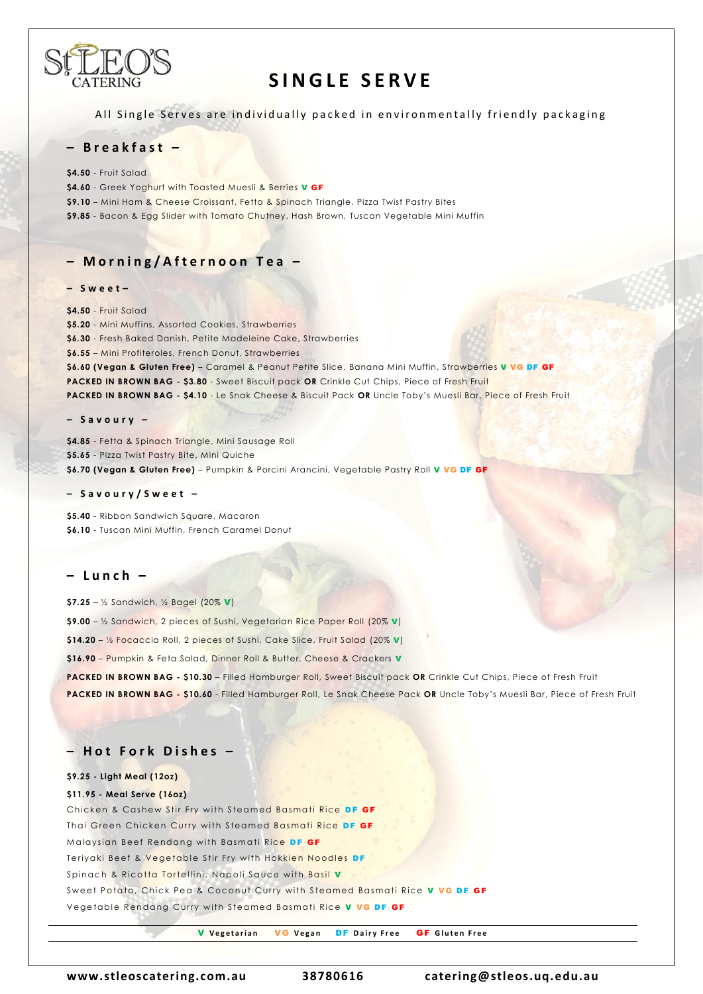

# **SINGLE SERVE**

All Single Serves are individually packed in environmentally friendly packaging

## **– B r e a k f a s t –**

**\$4.50** - Fruit Salad

\$4.60 - Greek Yoghurt with Toasted Muesli & Berries **V GF** 

**\$9.10** – Mini Ham & Cheese Croissant, Fetta & Spinach Triangle, Pizza Twist Pastry Bites

**\$9.85** - Bacon & Egg Slider with Tomato Chutney, Hash Brown, Tuscan Vegetable Mini Muffin

# **– M o r n i n g / A f t e r n o o n T e a –**

#### **– S w e e t –**

**\$4.50** - Fruit Salad **\$5.20** - Mini Muffins, Assorted Cookies, Strawberries **\$6.30** - Fresh Baked Danish, Petite Madeleine Cake, Strawberries **\$6.55** – Mini Profiteroles, French Donut, Strawberries **\$6.60 (Vegan & Gluten Free)** – Caramel & Peanut Petite Slice, Banana Mini Muffin, Strawberries V VG DF GF **PACKED IN BROWN BAG - \$3.80** - Sweet Biscuit pack **OR** Crinkle Cut Chips, Piece of Fresh Fruit **PACKED IN BROWN BAG - \$4.10** - Le Snak Cheese & Biscuit Pack **OR** Uncle Toby's Muesli Bar, Piece of Fresh Fruit

#### **– S a v o u r y –**

**\$4.85** - Fetta & Spinach Triangle, Mini Sausage Roll **\$5.65** - Pizza Twist Pastry Bite, Mini Quiche **\$6.70 (Vegan & Gluten Free)** – Pumpkin & Porcini Arancini, Vegetable Pastry Roll V VG DF GF

#### **– S a v o u r y / S w e e t –**

**\$5.40** - Ribbon Sandwich Square, Macaron **\$6.10** - Tuscan Mini Muffin, French Caramel Donut

### **– L u n c h –**

**\$7.25** – ½ Sandwich, ½ Bagel (20% V) **\$9.00** – ½ Sandwich, 2 pieces of Sushi, Vegetarian Rice Paper Roll (20% V) **\$14.20** – ½ Focaccia Roll, 2 pieces of Sushi, Cake Slice, Fruit Salad (20% V) **\$16.90** – Pumpkin & Feta Salad, Dinner Roll & Butter, Cheese & Crackers V

**PACKED IN BROWN BAG - \$10.30** – Filled Hamburger Roll, Sweet Biscuit pack **OR** Crinkle Cut Chips, Piece of Fresh Fruit

**PACKED IN BROWN BAG - \$10.60** - Filled Hamburger Roll, Le Snak Cheese Pack **OR** Uncle Toby's Muesli Bar, Piece of Fresh Fruit

# **– H o t F o r k D i s h e s –**

#### **\$9.25 - Light Meal (12oz)**

#### **\$11.95 - Meal Serve (16oz)**

Chicken & Cashew Stir Fry with Steamed Basmati Rice DF GF Thai Green Chicken Curry with Steamed Basmati Rice DF GF Malaysian Beef Rendang with Basmati Rice DF GF Teriyaki Beef & Vegetable Stir Fry with Hokkien Noodles DF Spinach & Ricotta Tortellini, Napoli Sauce with Basil V Sweet Potato, Chick Pea & Coconut Curry with Steamed Basmati Rice V VG DF GF Vegetable Rendang Curry with Steamed Basmati Rice V VG DF GF

**V** Vegetarian **VG** Vegan **DF** Dairy Free **GF** Gluten Free